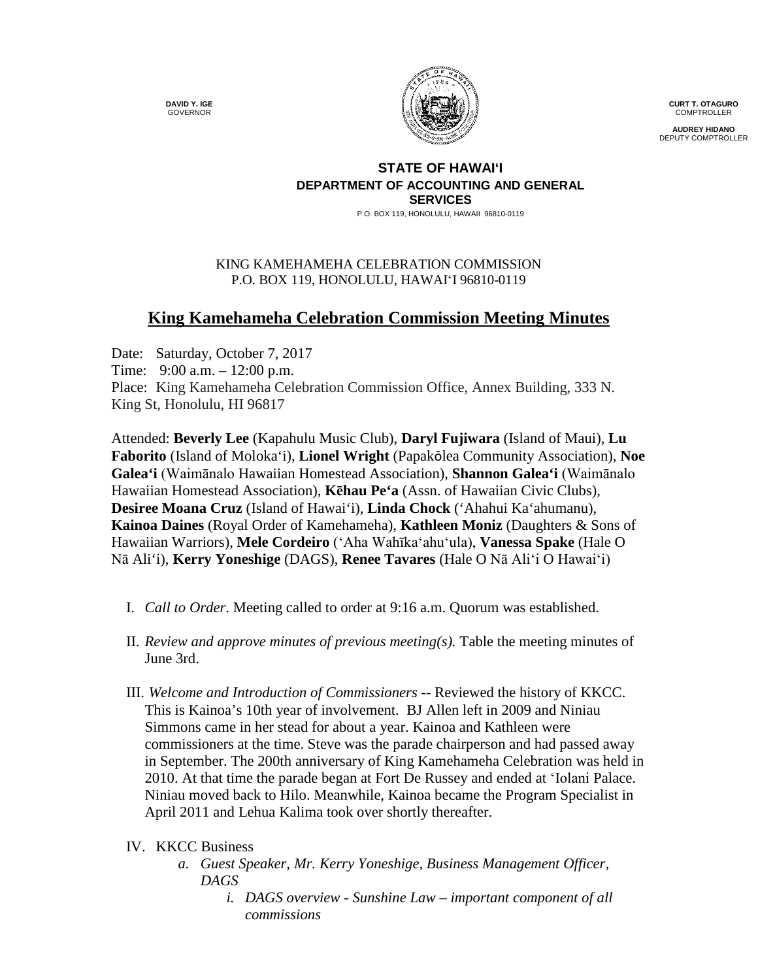**DAVID Y. IGE** GOVERNOR



**CURT T. OTAGURO** COMPTROLLER

**AUDREY HIDANO** DEPUTY COMPTROLLER

## **STATE OF HAWAI'I DEPARTMENT OF ACCOUNTING AND GENERAL SERVICES**

P.O. BOX 119, HONOLULU, HAWAII 96810-0119

## KING KAMEHAMEHA CELEBRATION COMMISSION P.O. BOX 119, HONOLULU, HAWAIʻI 96810-0119

## **King Kamehameha Celebration Commission Meeting Minutes**

Date: Saturday, October 7, 2017 Time: 9:00 a.m. – 12:00 p.m. Place: King Kamehameha Celebration Commission Office, Annex Building, 333 N. King St, Honolulu, HI 96817

Attended: **Beverly Lee** (Kapahulu Music Club), **Daryl Fujiwara** (Island of Maui), **Lu Faborito** (Island of Moloka'i), **Lionel Wright** (Papakōlea Community Association), **Noe Galea'i** (Waimānalo Hawaiian Homestead Association), **Shannon Galea'i** (Waimānalo Hawaiian Homestead Association), **Kēhau Pe'a** (Assn. of Hawaiian Civic Clubs), **Desiree Moana Cruz** (Island of Hawai'i), **Linda Chock** ('Ahahui Ka'ahumanu), **Kainoa Daines** (Royal Order of Kamehameha), **Kathleen Moniz** (Daughters & Sons of Hawaiian Warriors), **Mele Cordeiro** (ʻAha Wahīkaʻahuʻula), **Vanessa Spake** (Hale O Nā Ali'i), **Kerry Yoneshige** (DAGS), **Renee Tavares** (Hale O Nā Aliʻi O Hawaiʻi)

- I. *Call to Order*. Meeting called to order at 9:16 a.m. Quorum was established.
- II. *Review and approve minutes of previous meeting(s).* Table the meeting minutes of June 3rd.
- III. *Welcome and Introduction of Commissioners* -- Reviewed the history of KKCC. This is Kainoa's 10th year of involvement. BJ Allen left in 2009 and Niniau Simmons came in her stead for about a year. Kainoa and Kathleen were commissioners at the time. Steve was the parade chairperson and had passed away in September. The 200th anniversary of King Kamehameha Celebration was held in 2010. At that time the parade began at Fort De Russey and ended at ʻIolani Palace. Niniau moved back to Hilo. Meanwhile, Kainoa became the Program Specialist in April 2011 and Lehua Kalima took over shortly thereafter.
- IV. KKCC Business
	- *a. Guest Speaker, Mr. Kerry Yoneshige, Business Management Officer, DAGS*
		- *i. DAGS overview - Sunshine Law – important component of all commissions*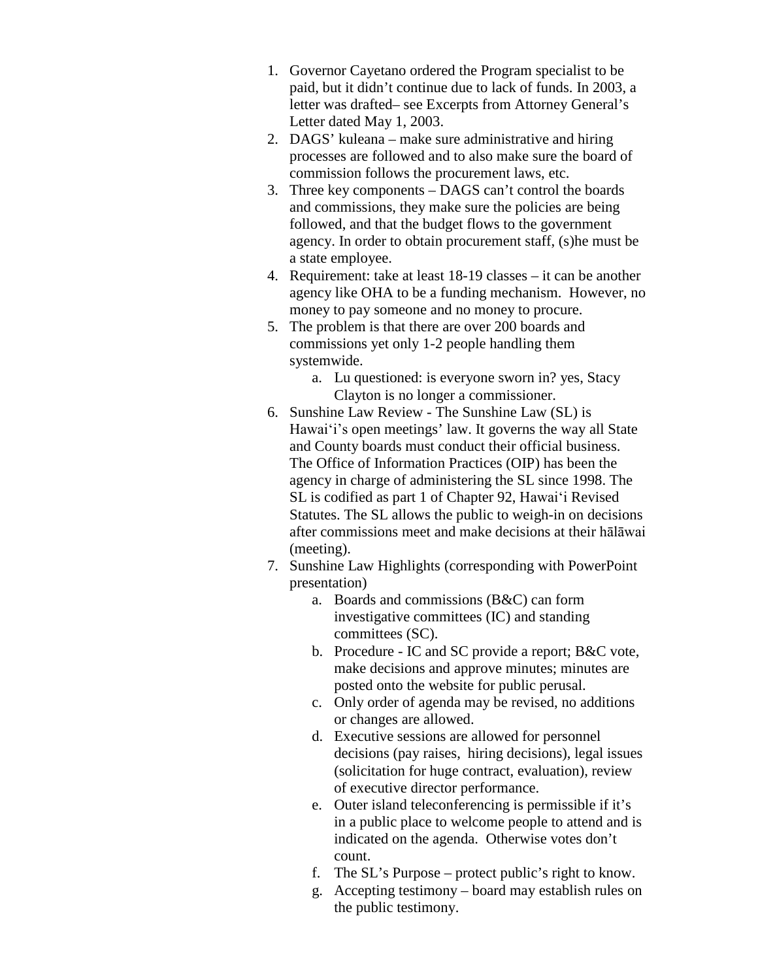- 1. Governor Cayetano ordered the Program specialist to be paid, but it didn't continue due to lack of funds. In 2003, a letter was drafted– see Excerpts from Attorney General's Letter dated May 1, 2003.
- 2. DAGS' kuleana make sure administrative and hiring processes are followed and to also make sure the board of commission follows the procurement laws, etc.
- 3. Three key components DAGS can't control the boards and commissions, they make sure the policies are being followed, and that the budget flows to the government agency. In order to obtain procurement staff, (s)he must be a state employee.
- 4. Requirement: take at least 18-19 classes it can be another agency like OHA to be a funding mechanism. However, no money to pay someone and no money to procure.
- 5. The problem is that there are over 200 boards and commissions yet only 1-2 people handling them systemwide.
	- a. Lu questioned: is everyone sworn in? yes, Stacy Clayton is no longer a commissioner.
- 6. Sunshine Law Review The Sunshine Law (SL) is Hawaiʻi's open meetings' law. It governs the way all State and County boards must conduct their official business. The Office of Information Practices (OIP) has been the agency in charge of administering the SL since 1998. The SL is codified as part 1 of Chapter 92, Hawaiʻi Revised Statutes. The SL allows the public to weigh-in on decisions after commissions meet and make decisions at their hālāwai (meeting).
- 7. Sunshine Law Highlights (corresponding with PowerPoint presentation)
	- a. Boards and commissions (B&C) can form investigative committees (IC) and standing committees (SC).
	- b. Procedure IC and SC provide a report; B&C vote, make decisions and approve minutes; minutes are posted onto the website for public perusal.
	- c. Only order of agenda may be revised, no additions or changes are allowed.
	- d. Executive sessions are allowed for personnel decisions (pay raises, hiring decisions), legal issues (solicitation for huge contract, evaluation), review of executive director performance.
	- e. Outer island teleconferencing is permissible if it's in a public place to welcome people to attend and is indicated on the agenda. Otherwise votes don't count.
	- f. The SL's Purpose protect public's right to know.
	- g. Accepting testimony board may establish rules on the public testimony.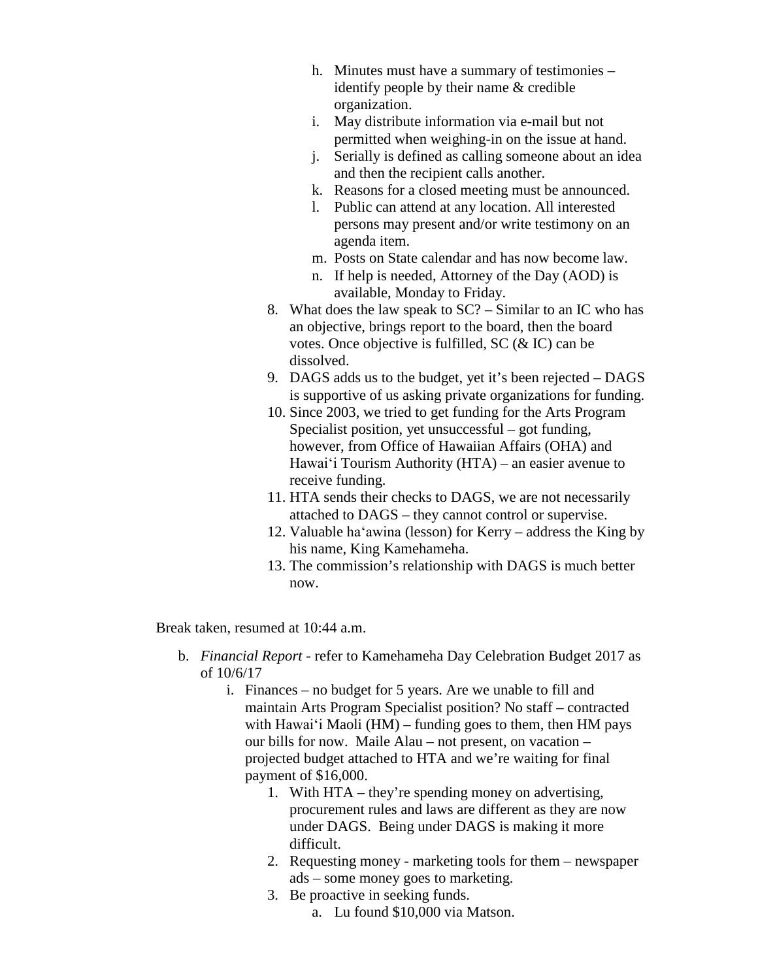- h. Minutes must have a summary of testimonies identify people by their name & credible organization.
- i. May distribute information via e-mail but not permitted when weighing-in on the issue at hand.
- j. Serially is defined as calling someone about an idea and then the recipient calls another.
- k. Reasons for a closed meeting must be announced.
- l. Public can attend at any location. All interested persons may present and/or write testimony on an agenda item.
- m. Posts on State calendar and has now become law.
- n. If help is needed, Attorney of the Day (AOD) is available, Monday to Friday.
- 8. What does the law speak to SC? Similar to an IC who has an objective, brings report to the board, then the board votes. Once objective is fulfilled, SC (& IC) can be dissolved.
- 9. DAGS adds us to the budget, yet it's been rejected DAGS is supportive of us asking private organizations for funding.
- 10. Since 2003, we tried to get funding for the Arts Program Specialist position, yet unsuccessful – got funding, however, from Office of Hawaiian Affairs (OHA) and Hawaiʻi Tourism Authority (HTA) – an easier avenue to receive funding.
- 11. HTA sends their checks to DAGS, we are not necessarily attached to DAGS – they cannot control or supervise.
- 12. Valuable haʻawina (lesson) for Kerry address the King by his name, King Kamehameha.
- 13. The commission's relationship with DAGS is much better now.

Break taken, resumed at 10:44 a.m.

- b. *Financial Report* refer to Kamehameha Day Celebration Budget 2017 as of 10/6/17
	- i. Finances no budget for 5 years. Are we unable to fill and maintain Arts Program Specialist position? No staff – contracted with Hawai'i Maoli  $(HM)$  – funding goes to them, then HM pays our bills for now. Maile Alau – not present, on vacation – projected budget attached to HTA and we're waiting for final payment of \$16,000.
		- 1. With HTA they're spending money on advertising, procurement rules and laws are different as they are now under DAGS. Being under DAGS is making it more difficult.
		- 2. Requesting money marketing tools for them newspaper ads – some money goes to marketing.
		- 3. Be proactive in seeking funds. a. Lu found \$10,000 via Matson.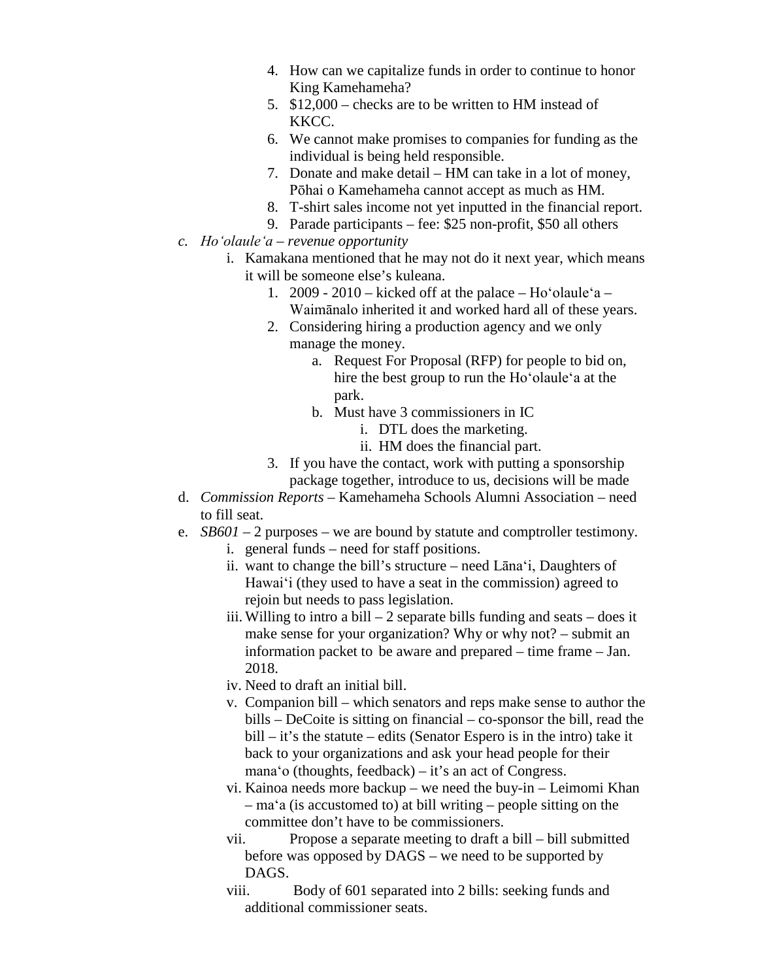- 4. How can we capitalize funds in order to continue to honor King Kamehameha?
- 5. \$12,000 checks are to be written to HM instead of KKCC.
- 6. We cannot make promises to companies for funding as the individual is being held responsible.
- 7. Donate and make detail HM can take in a lot of money, Pōhai o Kamehameha cannot accept as much as HM.
- 8. T-shirt sales income not yet inputted in the financial report.
- 9. Parade participants fee: \$25 non-profit, \$50 all others
- *c. Hoʻolauleʻa – revenue opportunity*
	- i. Kamakana mentioned that he may not do it next year, which means it will be someone else's kuleana.
		- 1. 2009 2010 kicked off at the palace Ho'olaule'a Waimānalo inherited it and worked hard all of these years.
		- 2. Considering hiring a production agency and we only manage the money.
			- a. Request For Proposal (RFP) for people to bid on, hire the best group to run the Hoʻolauleʻa at the park.
			- b. Must have 3 commissioners in IC
				- i. DTL does the marketing.
				- ii. HM does the financial part.
		- 3. If you have the contact, work with putting a sponsorship package together, introduce to us, decisions will be made
- d. *Commission Reports* Kamehameha Schools Alumni Association need to fill seat.
- e. *SB601* 2 purposes we are bound by statute and comptroller testimony.
	- i. general funds need for staff positions.
	- ii. want to change the bill's structure need Lānaʻi, Daughters of Hawaiʻi (they used to have a seat in the commission) agreed to rejoin but needs to pass legislation.
	- iii. Willing to intro a bill  $-2$  separate bills funding and seats  $-$  does it make sense for your organization? Why or why not? – submit an information packet to be aware and prepared – time frame – Jan. 2018.
	- iv. Need to draft an initial bill.
	- v. Companion bill which senators and reps make sense to author the bills – DeCoite is sitting on financial – co-sponsor the bill, read the bill – it's the statute – edits (Senator Espero is in the intro) take it back to your organizations and ask your head people for their manaʻo (thoughts, feedback) – it's an act of Congress.
	- vi. Kainoa needs more backup we need the buy-in Leimomi Khan – maʻa (is accustomed to) at bill writing – people sitting on the committee don't have to be commissioners.
	- vii. Propose a separate meeting to draft a bill bill submitted before was opposed by DAGS – we need to be supported by DAGS.
	- viii. Body of 601 separated into 2 bills: seeking funds and additional commissioner seats.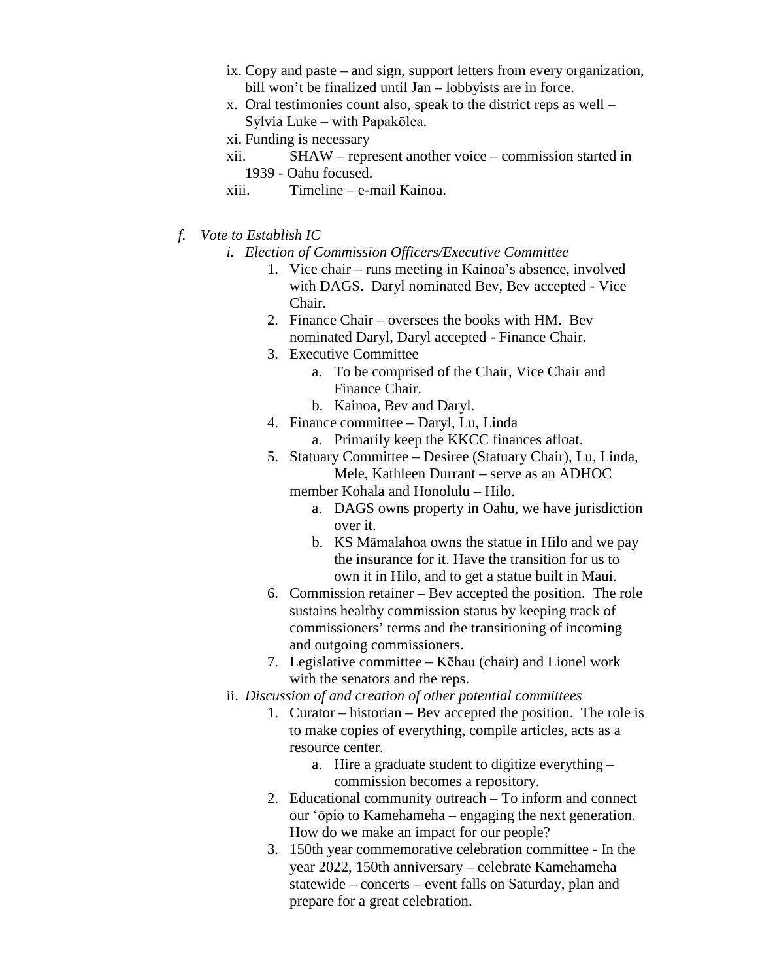- ix. Copy and paste and sign, support letters from every organization, bill won't be finalized until Jan – lobbyists are in force.
- x. Oral testimonies count also, speak to the district reps as well Sylvia Luke – with Papakōlea.
- xi. Funding is necessary
- xii. SHAW represent another voice commission started in 1939 - Oahu focused.
- xiii. Timeline e-mail Kainoa.
- *f. Vote to Establish IC*
	- *i. Election of Commission Officers/Executive Committee*
		- 1. Vice chair runs meeting in Kainoa's absence, involved with DAGS. Daryl nominated Bev, Bev accepted - Vice Chair.
		- 2. Finance Chair oversees the books with HM. Bev nominated Daryl, Daryl accepted - Finance Chair.
		- 3. Executive Committee
			- a. To be comprised of the Chair, Vice Chair and Finance Chair.
			- b. Kainoa, Bev and Daryl.
		- 4. Finance committee Daryl, Lu, Linda
			- a. Primarily keep the KKCC finances afloat.
		- 5. Statuary Committee Desiree (Statuary Chair), Lu, Linda, Mele, Kathleen Durrant – serve as an ADHOC member Kohala and Honolulu – Hilo.
			- a. DAGS owns property in Oahu, we have jurisdiction over it.
			- b. KS Māmalahoa owns the statue in Hilo and we pay the insurance for it. Have the transition for us to own it in Hilo, and to get a statue built in Maui.
		- 6. Commission retainer Bev accepted the position. The role sustains healthy commission status by keeping track of commissioners' terms and the transitioning of incoming and outgoing commissioners.
		- 7. Legislative committee Kēhau (chair) and Lionel work with the senators and the reps.
	- ii. *Discussion of and creation of other potential committees*
		- 1. Curator historian Bev accepted the position. The role is to make copies of everything, compile articles, acts as a resource center.
			- a. Hire a graduate student to digitize everything commission becomes a repository.
		- 2. Educational community outreach To inform and connect our ʻōpio to Kamehameha – engaging the next generation. How do we make an impact for our people?
		- 3. 150th year commemorative celebration committee In the year 2022, 150th anniversary – celebrate Kamehameha statewide – concerts – event falls on Saturday, plan and prepare for a great celebration.